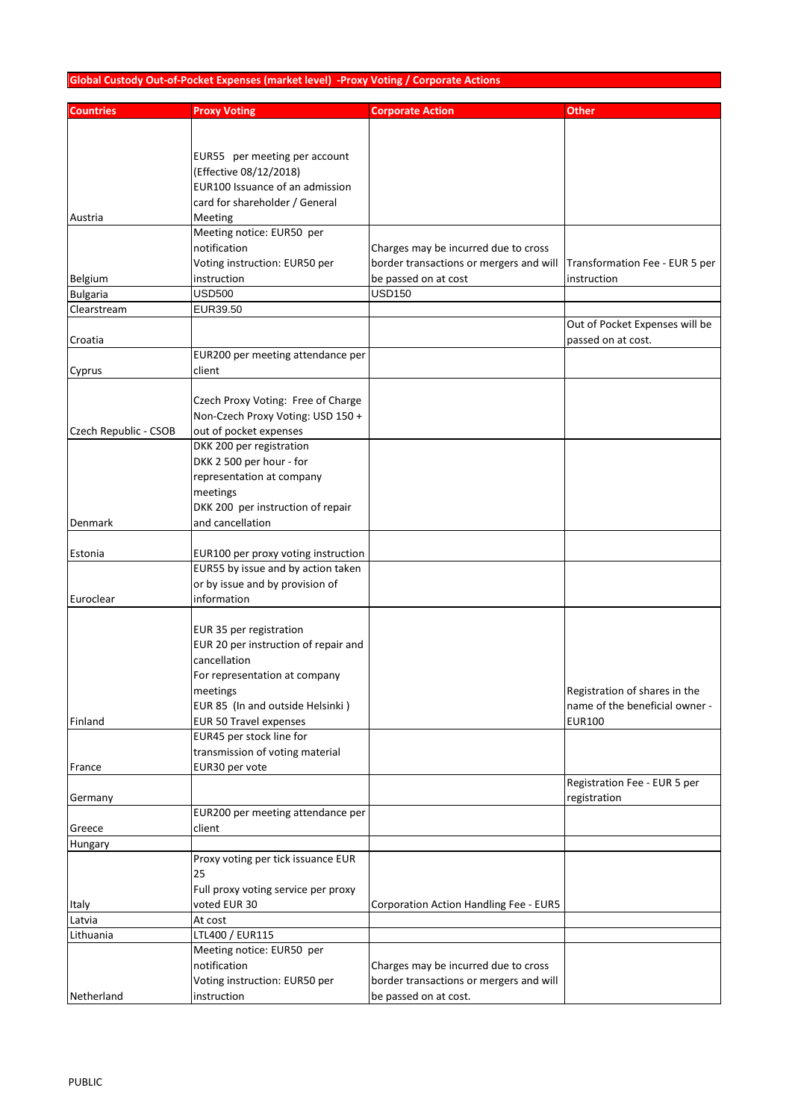## **Global Custody Out-of-Pocket Expenses (market level) -Proxy Voting / Corporate Actions**

| <b>Countries</b>      | <b>Proxy Voting</b>                                                       | <b>Corporate Action</b>                 | Other                          |
|-----------------------|---------------------------------------------------------------------------|-----------------------------------------|--------------------------------|
|                       |                                                                           |                                         |                                |
|                       |                                                                           |                                         |                                |
|                       | EUR55 per meeting per account                                             |                                         |                                |
|                       | (Effective 08/12/2018)                                                    |                                         |                                |
|                       | EUR100 Issuance of an admission                                           |                                         |                                |
|                       | card for shareholder / General                                            |                                         |                                |
| Austria               | Meeting                                                                   |                                         |                                |
|                       | Meeting notice: EUR50 per                                                 |                                         |                                |
|                       | notification                                                              | Charges may be incurred due to cross    |                                |
|                       | Voting instruction: EUR50 per                                             | border transactions or mergers and will | Transformation Fee - EUR 5 per |
| Belgium               | instruction                                                               | be passed on at cost                    | instruction                    |
| <b>Bulgaria</b>       | <b>USD500</b>                                                             | <b>USD150</b>                           |                                |
| Clearstream           | EUR39.50                                                                  |                                         |                                |
|                       |                                                                           |                                         | Out of Pocket Expenses will be |
| Croatia               |                                                                           |                                         | passed on at cost.             |
|                       | EUR200 per meeting attendance per                                         |                                         |                                |
| Cyprus                | client                                                                    |                                         |                                |
|                       |                                                                           |                                         |                                |
|                       | Czech Proxy Voting: Free of Charge                                        |                                         |                                |
|                       | Non-Czech Proxy Voting: USD 150 +                                         |                                         |                                |
| Czech Republic - CSOB | out of pocket expenses                                                    |                                         |                                |
|                       | DKK 200 per registration                                                  |                                         |                                |
|                       | DKK 2 500 per hour - for                                                  |                                         |                                |
|                       | representation at company                                                 |                                         |                                |
|                       | meetings                                                                  |                                         |                                |
|                       | DKK 200 per instruction of repair                                         |                                         |                                |
| Denmark               | and cancellation                                                          |                                         |                                |
|                       |                                                                           |                                         |                                |
| Estonia               | EUR100 per proxy voting instruction<br>EUR55 by issue and by action taken |                                         |                                |
|                       | or by issue and by provision of                                           |                                         |                                |
| Euroclear             | information                                                               |                                         |                                |
|                       |                                                                           |                                         |                                |
|                       | EUR 35 per registration                                                   |                                         |                                |
|                       | EUR 20 per instruction of repair and                                      |                                         |                                |
|                       | cancellation                                                              |                                         |                                |
|                       | For representation at company                                             |                                         |                                |
|                       | meetings                                                                  |                                         | Registration of shares in the  |
|                       | EUR 85 (In and outside Helsinki)                                          |                                         | name of the beneficial owner - |
| Finland               | EUR 50 Travel expenses                                                    |                                         | <b>EUR100</b>                  |
|                       | EUR45 per stock line for                                                  |                                         |                                |
|                       | transmission of voting material                                           |                                         |                                |
| France                | EUR30 per vote                                                            |                                         |                                |
|                       |                                                                           |                                         | Registration Fee - EUR 5 per   |
| Germany               |                                                                           |                                         | registration                   |
|                       | EUR200 per meeting attendance per                                         |                                         |                                |
| Greece                | client                                                                    |                                         |                                |
| Hungary               |                                                                           |                                         |                                |
|                       | Proxy voting per tick issuance EUR<br>25                                  |                                         |                                |
|                       | Full proxy voting service per proxy                                       |                                         |                                |
| Italy                 | voted EUR 30                                                              | Corporation Action Handling Fee - EUR5  |                                |
| Latvia                | At cost                                                                   |                                         |                                |
| Lithuania             | LTL400 / EUR115                                                           |                                         |                                |
|                       | Meeting notice: EUR50 per                                                 |                                         |                                |
|                       | notification                                                              | Charges may be incurred due to cross    |                                |
|                       | Voting instruction: EUR50 per                                             | border transactions or mergers and will |                                |
| Netherland            | instruction                                                               | be passed on at cost.                   |                                |